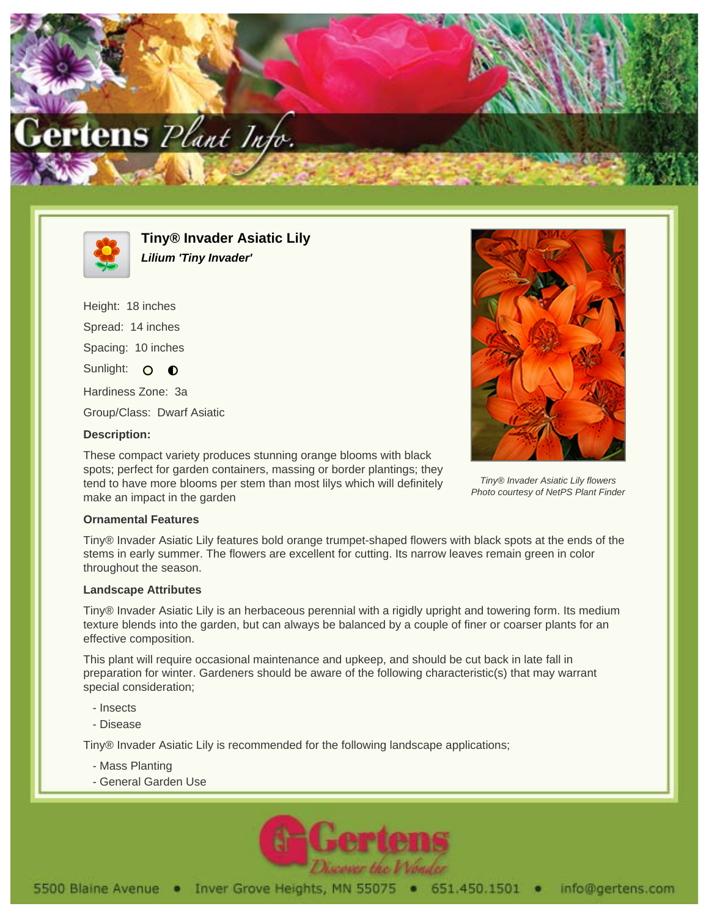



**Tiny® Invader Asiatic Lily Lilium 'Tiny Invader'**

Height: 18 inches Spread: 14 inches Spacing: 10 inches Sunlight: O O Hardiness Zone: 3a Group/Class: Dwarf Asiatic

## **Description:**

These compact variety produces stunning orange blooms with black spots; perfect for garden containers, massing or border plantings; they tend to have more blooms per stem than most lilys which will definitely make an impact in the garden



Tiny® Invader Asiatic Lily flowers Photo courtesy of NetPS Plant Finder

## **Ornamental Features**

Tiny® Invader Asiatic Lily features bold orange trumpet-shaped flowers with black spots at the ends of the stems in early summer. The flowers are excellent for cutting. Its narrow leaves remain green in color throughout the season.

## **Landscape Attributes**

Tiny® Invader Asiatic Lily is an herbaceous perennial with a rigidly upright and towering form. Its medium texture blends into the garden, but can always be balanced by a couple of finer or coarser plants for an effective composition.

This plant will require occasional maintenance and upkeep, and should be cut back in late fall in preparation for winter. Gardeners should be aware of the following characteristic(s) that may warrant special consideration;

- Insects
- Disease

Tiny® Invader Asiatic Lily is recommended for the following landscape applications;

- Mass Planting
- General Garden Use